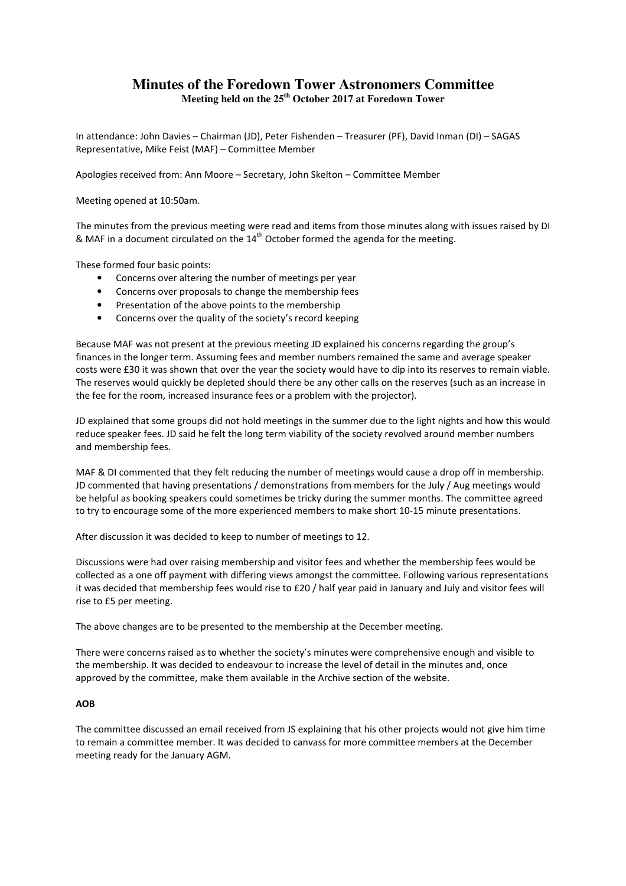## **Minutes of the Foredown Tower Astronomers Committee Meeting held on the 25th October 2017 at Foredown Tower**

In attendance: John Davies – Chairman (JD), Peter Fishenden – Treasurer (PF), David Inman (DI) – SAGAS Representative, Mike Feist (MAF) – Committee Member

Apologies received from: Ann Moore – Secretary, John Skelton – Committee Member

Meeting opened at 10:50am.

The minutes from the previous meeting were read and items from those minutes along with issues raised by DI & MAF in a document circulated on the  $14<sup>th</sup>$  October formed the agenda for the meeting.

These formed four basic points:

- Concerns over altering the number of meetings per year
- Concerns over proposals to change the membership fees
- Presentation of the above points to the membership
- Concerns over the quality of the society's record keeping

Because MAF was not present at the previous meeting JD explained his concerns regarding the group's finances in the longer term. Assuming fees and member numbers remained the same and average speaker costs were £30 it was shown that over the year the society would have to dip into its reserves to remain viable. The reserves would quickly be depleted should there be any other calls on the reserves (such as an increase in the fee for the room, increased insurance fees or a problem with the projector).

JD explained that some groups did not hold meetings in the summer due to the light nights and how this would reduce speaker fees. JD said he felt the long term viability of the society revolved around member numbers and membership fees.

MAF & DI commented that they felt reducing the number of meetings would cause a drop off in membership. JD commented that having presentations / demonstrations from members for the July / Aug meetings would be helpful as booking speakers could sometimes be tricky during the summer months. The committee agreed to try to encourage some of the more experienced members to make short 10-15 minute presentations.

After discussion it was decided to keep to number of meetings to 12.

Discussions were had over raising membership and visitor fees and whether the membership fees would be collected as a one off payment with differing views amongst the committee. Following various representations it was decided that membership fees would rise to £20 / half year paid in January and July and visitor fees will rise to £5 per meeting.

The above changes are to be presented to the membership at the December meeting.

There were concerns raised as to whether the society's minutes were comprehensive enough and visible to the membership. It was decided to endeavour to increase the level of detail in the minutes and, once approved by the committee, make them available in the Archive section of the website.

## AOB

The committee discussed an email received from JS explaining that his other projects would not give him time to remain a committee member. It was decided to canvass for more committee members at the December meeting ready for the January AGM.